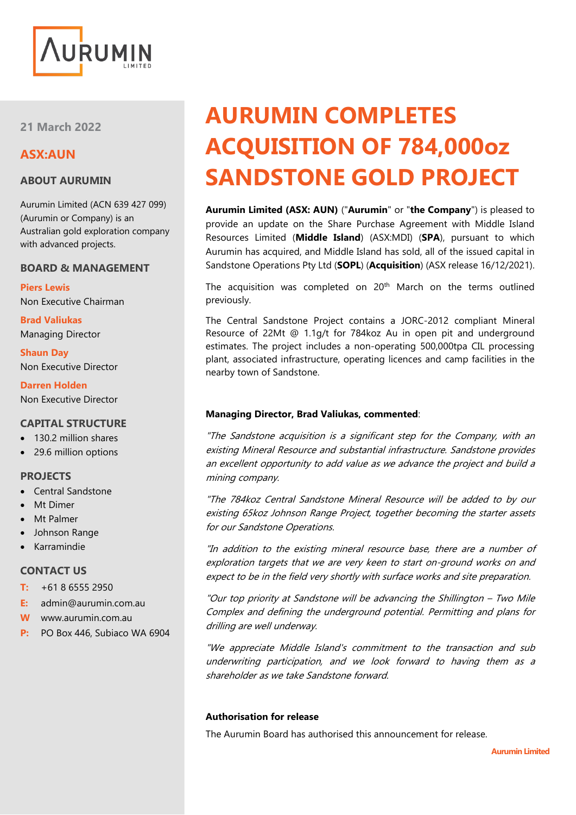

**21 March 2022**

## **ASX:AUN**

## **ABOUT AURUMIN**

Aurumin Limited (ACN 639 427 099) (Aurumin or Company) is an Australian gold exploration company with advanced projects.

## **BOARD & MANAGEMENT**

**Piers Lewis** Non Executive Chairman

**Brad Valiukas** Managing Director

**Shaun Day** Non Executive Director

**Darren Holden** Non Executive Director

## **CAPITAL STRUCTURE**

- 130.2 million shares
- 29.6 million options

## **PROJECTS**

- Central Sandstone
- **Mt Dimer**
- Mt Palmer
- Johnson Range
- Karramindie

## **CONTACT US**

- **T:** +61 8 6555 2950
- **E:** admin@aurumin.com.au
- **W** www.aurumin.com.au
- **P:** PO Box 446, Subiaco WA 6904

# **AURUMIN COMPLETES ACQUISITION OF 784,000oz SANDSTONE GOLD PROJECT**

**Aurumin Limited (ASX: AUN)** ("**Aurumin**" or "**the Company**") is pleased to provide an update on the Share Purchase Agreement with Middle Island Resources Limited (**Middle Island**) (ASX:MDI) (**SPA**), pursuant to which Aurumin has acquired, and Middle Island has sold, all of the issued capital in Sandstone Operations Pty Ltd (**SOPL**) (**Acquisition**) (ASX release 16/12/2021).

The acquisition was completed on 20<sup>th</sup> March on the terms outlined previously.

The Central Sandstone Project contains a JORC-2012 compliant Mineral Resource of 22Mt @ 1.1g/t for 784koz Au in open pit and underground estimates. The project includes a non-operating 500,000tpa CIL processing plant, associated infrastructure, operating licences and camp facilities in the nearby town of Sandstone.

## **Managing Director, Brad Valiukas, commented**:

"The Sandstone acquisition is a significant step for the Company, with an existing Mineral Resource and substantial infrastructure. Sandstone provides an excellent opportunity to add value as we advance the project and build a mining company.

"The 784koz Central Sandstone Mineral Resource will be added to by our existing 65koz Johnson Range Project, together becoming the starter assets for our Sandstone Operations.

"In addition to the existing mineral resource base, there are a number of exploration targets that we are very keen to start on-ground works on and expect to be in the field very shortly with surface works and site preparation.

"Our top priority at Sandstone will be advancing the Shillington – Two Mile Complex and defining the underground potential. Permitting and plans for drilling are well underway.

"We appreciate Middle Island's commitment to the transaction and sub underwriting participation, and we look forward to having them as a shareholder as we take Sandstone forward.

## **Authorisation for release**

The Aurumin Board has authorised this announcement for release.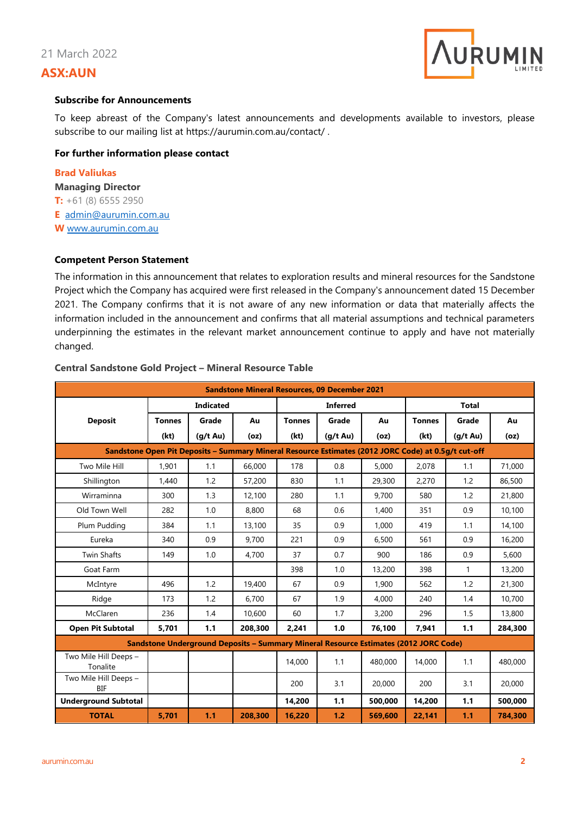

#### **Subscribe for Announcements**

To keep abreast of the Company's latest announcements and developments available to investors, please subscribe to our mailing list at<https://aurumin.com.au/contact/> .

## **For further information please contact**

**Brad Valiukas Managing Director T:** +61 (8) 6555 2950 **E** [admin@aurumin.com.au](mailto:admin@aurumin.com.au) **W** [www.aurumin.com.au](http://www.aurumin.com.au/)

#### **Competent Person Statement**

The information in this announcement that relates to exploration results and mineral resources for the Sandstone Project which the Company has acquired were first released in the Company's announcement dated 15 December 2021. The Company confirms that it is not aware of any new information or data that materially affects the information included in the announcement and confirms that all material assumptions and technical parameters underpinning the estimates in the relevant market announcement continue to apply and have not materially changed.

| <b>Sandstone Mineral Resources, 09 December 2021</b>                                                |                  |               |         |                 |               |         |               |                    |         |
|-----------------------------------------------------------------------------------------------------|------------------|---------------|---------|-----------------|---------------|---------|---------------|--------------------|---------|
|                                                                                                     | <b>Indicated</b> |               |         | <b>Inferred</b> |               |         | <b>Total</b>  |                    |         |
| <b>Deposit</b>                                                                                      | <b>Tonnes</b>    | Grade         | Au      | <b>Tonnes</b>   | Grade         | Au      | <b>Tonnes</b> | Grade              | Au      |
|                                                                                                     | (kt)             | $(q/t \, Au)$ | (oz)    | (kt)            | $(q/t \, Au)$ | (oz)    | (kt)          | $(q/t \text{ Au})$ | (oz)    |
| Sandstone Open Pit Deposits - Summary Mineral Resource Estimates (2012 JORC Code) at 0.5g/t cut-off |                  |               |         |                 |               |         |               |                    |         |
| Two Mile Hill                                                                                       | 1.901            | 1.1           | 66,000  | 178             | 0.8           | 5.000   | 2,078         | 1.1                | 71,000  |
| Shillington                                                                                         | 1,440            | 1.2           | 57,200  | 830             | 1.1           | 29,300  | 2,270         | 1.2                | 86,500  |
| Wirraminna                                                                                          | 300              | 1.3           | 12,100  | 280             | 1.1           | 9,700   | 580           | 1.2                | 21,800  |
| Old Town Well                                                                                       | 282              | 1.0           | 8.800   | 68              | 0.6           | 1.400   | 351           | 0.9                | 10,100  |
| Plum Pudding                                                                                        | 384              | 1.1           | 13,100  | 35              | 0.9           | 1,000   | 419           | 1.1                | 14,100  |
| Eureka                                                                                              | 340              | 0.9           | 9.700   | 221             | 0.9           | 6.500   | 561           | 0.9                | 16,200  |
| <b>Twin Shafts</b>                                                                                  | 149              | 1.0           | 4.700   | 37              | 0.7           | 900     | 186           | 0.9                | 5.600   |
| Goat Farm                                                                                           |                  |               |         | 398             | 1.0           | 13,200  | 398           | $\mathbf{1}$       | 13,200  |
| McIntyre                                                                                            | 496              | 1.2           | 19,400  | 67              | 0.9           | 1.900   | 562           | 1.2                | 21,300  |
| Ridge                                                                                               | 173              | 1.2           | 6.700   | 67              | 1.9           | 4.000   | 240           | 1.4                | 10,700  |
| McClaren                                                                                            | 236              | 1.4           | 10,600  | 60              | 1.7           | 3,200   | 296           | 1.5                | 13,800  |
| <b>Open Pit Subtotal</b>                                                                            | 5,701            | 1.1           | 208,300 | 2,241           | 1.0           | 76,100  | 7,941         | 1.1                | 284,300 |
| Sandstone Underground Deposits - Summary Mineral Resource Estimates (2012 JORC Code)                |                  |               |         |                 |               |         |               |                    |         |
| Two Mile Hill Deeps -<br>Tonalite                                                                   |                  |               |         | 14,000          | 1.1           | 480,000 | 14,000        | 1.1                | 480,000 |
| Two Mile Hill Deeps -<br><b>BIF</b>                                                                 |                  |               |         | 200             | 3.1           | 20,000  | 200           | 3.1                | 20,000  |
| <b>Underground Subtotal</b>                                                                         |                  |               |         | 14,200          | 1.1           | 500.000 | 14,200        | 1.1                | 500.000 |
| <b>TOTAL</b>                                                                                        | 5,701            | 1.1           | 208,300 | 16,220          | 1.2           | 569,600 | 22,141        | 1.1                | 784,300 |

## **Central Sandstone Gold Project – Mineral Resource Table**